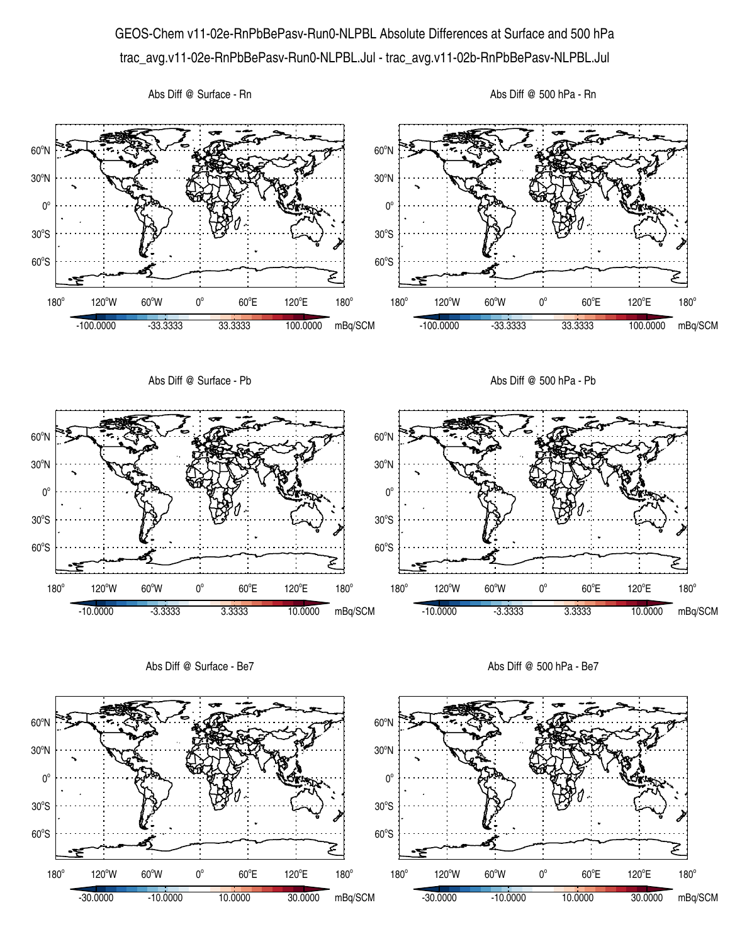## GEOS-Chem v11-02e-RnPbBePasv-Run0-NLPBL Absolute Differences at Surface and 500 hPa trac\_avg.v11-02e-RnPbBePasv-Run0-NLPBL.Jul - trac\_avg.v11-02b-RnPbBePasv-NLPBL.Jul







Abs Diff @ Surface - Be7

Abs Diff @ 500 hPa - Be7